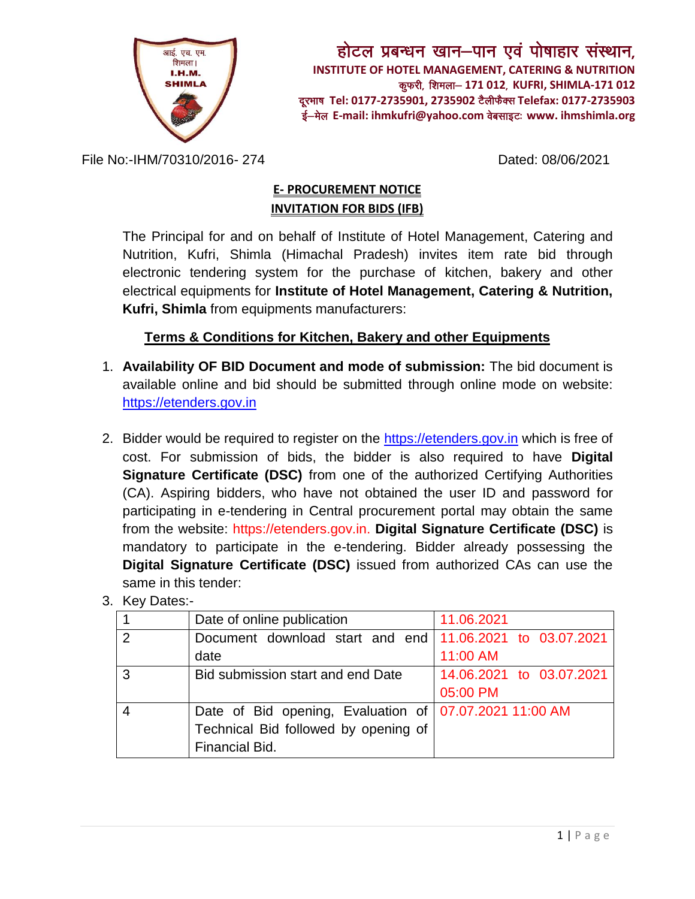

File No:-IHM/70310/2016- 274 Dated: 08/06/2021

## **E- PROCUREMENT NOTICE INVITATION FOR BIDS (IFB)**

The Principal for and on behalf of Institute of Hotel Management, Catering and Nutrition, Kufri, Shimla (Himachal Pradesh) invites item rate bid through electronic tendering system for the purchase of kitchen, bakery and other electrical equipments for **Institute of Hotel Management, Catering & Nutrition, Kufri, Shimla** from equipments manufacturers:

## **Terms & Conditions for Kitchen, Bakery and other Equipments**

- 1. **Availability OF BID Document and mode of submission:** The bid document is available online and bid should be submitted through online mode on website: [https://etenders.gov.in](https://etenders.gov.in/)
- 2. Bidder would be required to register on the [https://etenders.gov.in](https://etenders.gov.in/) which is free of cost. For submission of bids, the bidder is also required to have **Digital Signature Certificate (DSC)** from one of the authorized Certifying Authorities (CA). Aspiring bidders, who have not obtained the user ID and password for participating in e-tendering in Central procurement portal may obtain the same from the website: https://etenders.gov.in. **Digital Signature Certificate (DSC)** is mandatory to participate in the e-tendering. Bidder already possessing the **Digital Signature Certificate (DSC)** issued from authorized CAs can use the same in this tender:

|   | Date of online publication                                 | 11.06.2021               |
|---|------------------------------------------------------------|--------------------------|
| 2 | Document download start and end   11.06.2021 to 03.07.2021 |                          |
|   | date                                                       | 11:00 AM                 |
| 3 | Bid submission start and end Date                          | 14.06.2021 to 03.07.2021 |
|   |                                                            | 05:00 PM                 |
|   | Date of Bid opening, Evaluation of   07.07.2021 11:00 AM   |                          |
|   | Technical Bid followed by opening of                       |                          |
|   | Financial Bid.                                             |                          |

3. Key Dates:-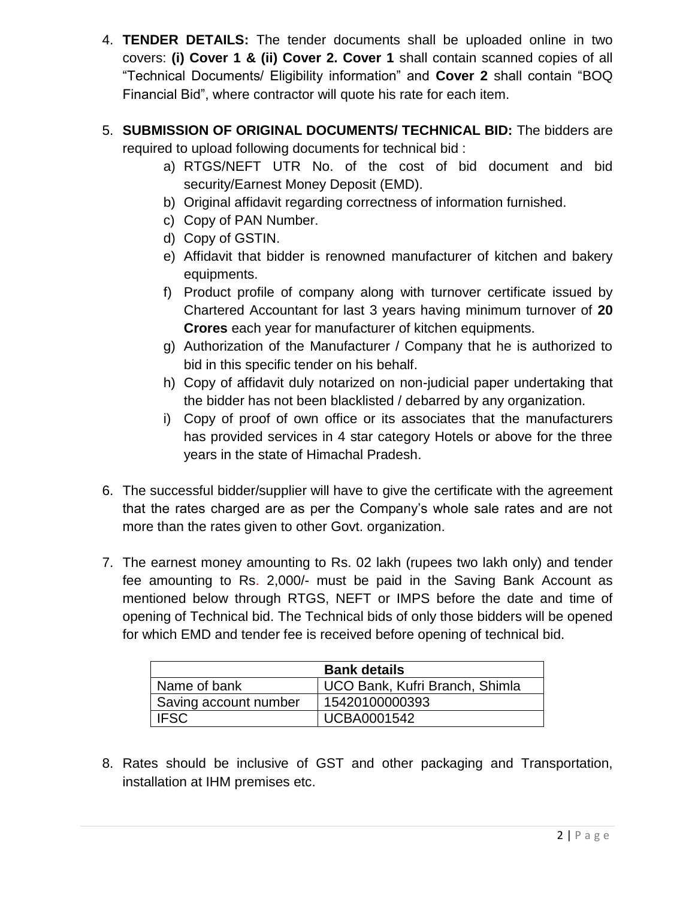- 4. **TENDER DETAILS:** The tender documents shall be uploaded online in two covers: **(i) Cover 1 & (ii) Cover 2. Cover 1** shall contain scanned copies of all "Technical Documents/ Eligibility information" and **Cover 2** shall contain "BOQ Financial Bid", where contractor will quote his rate for each item.
- 5. **SUBMISSION OF ORIGINAL DOCUMENTS/ TECHNICAL BID:** The bidders are required to upload following documents for technical bid :
	- a) RTGS/NEFT UTR No. of the cost of bid document and bid security/Earnest Money Deposit (EMD).
	- b) Original affidavit regarding correctness of information furnished.
	- c) Copy of PAN Number.
	- d) Copy of GSTIN.
	- e) Affidavit that bidder is renowned manufacturer of kitchen and bakery equipments.
	- f) Product profile of company along with turnover certificate issued by Chartered Accountant for last 3 years having minimum turnover of **20 Crores** each year for manufacturer of kitchen equipments.
	- g) Authorization of the Manufacturer / Company that he is authorized to bid in this specific tender on his behalf.
	- h) Copy of affidavit duly notarized on non-judicial paper undertaking that the bidder has not been blacklisted / debarred by any organization.
	- i) Copy of proof of own office or its associates that the manufacturers has provided services in 4 star category Hotels or above for the three years in the state of Himachal Pradesh.
- 6. The successful bidder/supplier will have to give the certificate with the agreement that the rates charged are as per the Company's whole sale rates and are not more than the rates given to other Govt. organization.
- 7. The earnest money amounting to Rs. 02 lakh (rupees two lakh only) and tender fee amounting to Rs. 2,000/- must be paid in the Saving Bank Account as mentioned below through RTGS, NEFT or IMPS before the date and time of opening of Technical bid. The Technical bids of only those bidders will be opened for which EMD and tender fee is received before opening of technical bid.

| <b>Bank details</b>   |                                |  |
|-----------------------|--------------------------------|--|
| Name of bank          | UCO Bank, Kufri Branch, Shimla |  |
| Saving account number | 15420100000393                 |  |
| <b>IFSC</b>           | <b>UCBA0001542</b>             |  |

8. Rates should be inclusive of GST and other packaging and Transportation, installation at IHM premises etc.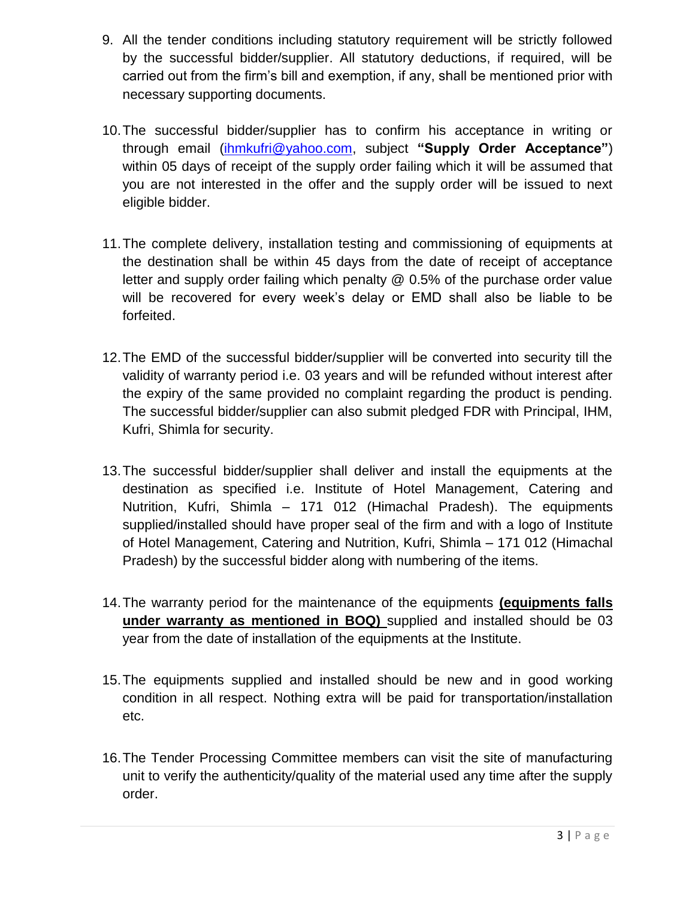- 9. All the tender conditions including statutory requirement will be strictly followed by the successful bidder/supplier. All statutory deductions, if required, will be carried out from the firm's bill and exemption, if any, shall be mentioned prior with necessary supporting documents.
- 10.The successful bidder/supplier has to confirm his acceptance in writing or through email [\(ihmkufri@yahoo.com,](mailto:ihmkufri@yahoo.com) subject **"Supply Order Acceptance"**) within 05 days of receipt of the supply order failing which it will be assumed that you are not interested in the offer and the supply order will be issued to next eligible bidder.
- 11.The complete delivery, installation testing and commissioning of equipments at the destination shall be within 45 days from the date of receipt of acceptance letter and supply order failing which penalty @ 0.5% of the purchase order value will be recovered for every week's delay or EMD shall also be liable to be forfeited.
- 12.The EMD of the successful bidder/supplier will be converted into security till the validity of warranty period i.e. 03 years and will be refunded without interest after the expiry of the same provided no complaint regarding the product is pending. The successful bidder/supplier can also submit pledged FDR with Principal, IHM, Kufri, Shimla for security.
- 13.The successful bidder/supplier shall deliver and install the equipments at the destination as specified i.e. Institute of Hotel Management, Catering and Nutrition, Kufri, Shimla – 171 012 (Himachal Pradesh). The equipments supplied/installed should have proper seal of the firm and with a logo of Institute of Hotel Management, Catering and Nutrition, Kufri, Shimla – 171 012 (Himachal Pradesh) by the successful bidder along with numbering of the items.
- 14.The warranty period for the maintenance of the equipments **(equipments falls under warranty as mentioned in BOQ)** supplied and installed should be 03 year from the date of installation of the equipments at the Institute.
- 15.The equipments supplied and installed should be new and in good working condition in all respect. Nothing extra will be paid for transportation/installation etc.
- 16.The Tender Processing Committee members can visit the site of manufacturing unit to verify the authenticity/quality of the material used any time after the supply order.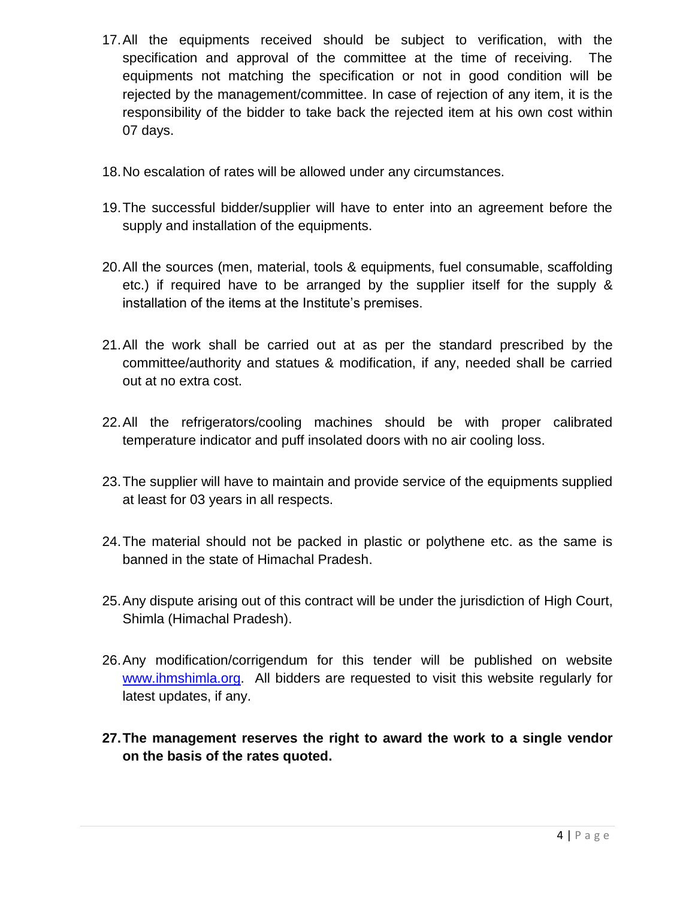- 17.All the equipments received should be subject to verification, with the specification and approval of the committee at the time of receiving. The equipments not matching the specification or not in good condition will be rejected by the management/committee. In case of rejection of any item, it is the responsibility of the bidder to take back the rejected item at his own cost within 07 days.
- 18.No escalation of rates will be allowed under any circumstances.
- 19.The successful bidder/supplier will have to enter into an agreement before the supply and installation of the equipments.
- 20.All the sources (men, material, tools & equipments, fuel consumable, scaffolding etc.) if required have to be arranged by the supplier itself for the supply & installation of the items at the Institute's premises.
- 21.All the work shall be carried out at as per the standard prescribed by the committee/authority and statues & modification, if any, needed shall be carried out at no extra cost.
- 22.All the refrigerators/cooling machines should be with proper calibrated temperature indicator and puff insolated doors with no air cooling loss.
- 23.The supplier will have to maintain and provide service of the equipments supplied at least for 03 years in all respects.
- 24.The material should not be packed in plastic or polythene etc. as the same is banned in the state of Himachal Pradesh.
- 25.Any dispute arising out of this contract will be under the jurisdiction of High Court, Shimla (Himachal Pradesh).
- 26.Any modification/corrigendum for this tender will be published on website [www.ihmshimla.org.](http://www.ihmshimla.org/) All bidders are requested to visit this website regularly for latest updates, if any.
- **27.The management reserves the right to award the work to a single vendor on the basis of the rates quoted.**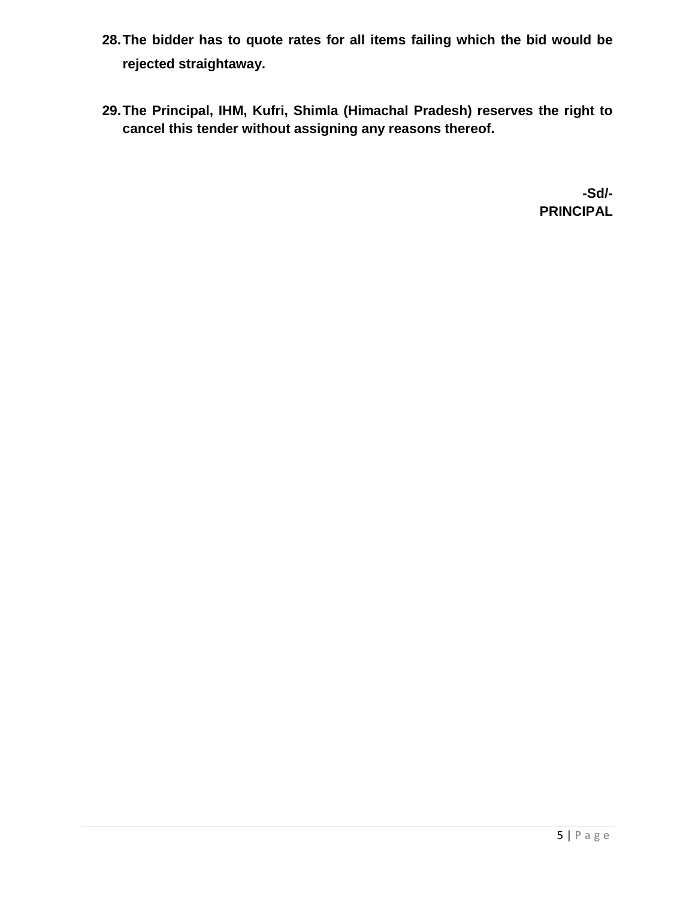- **28.The bidder has to quote rates for all items failing which the bid would be rejected straightaway.**
- **29.The Principal, IHM, Kufri, Shimla (Himachal Pradesh) reserves the right to cancel this tender without assigning any reasons thereof.**

 **-Sd/- PRINCIPAL**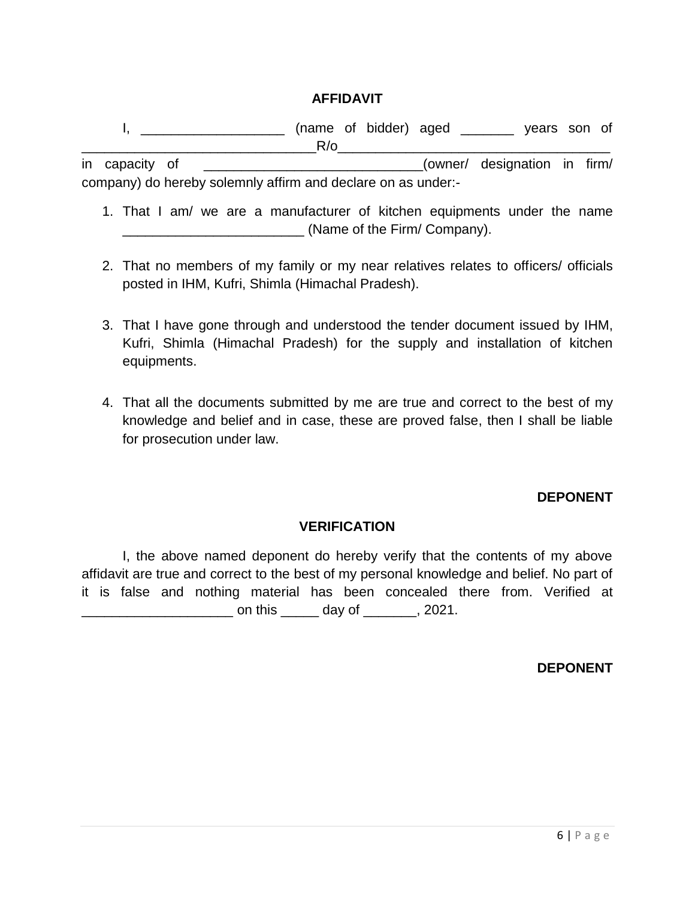### **AFFIDAVIT**

I, \_\_\_\_\_\_\_\_\_\_\_\_\_\_\_\_\_\_\_\_\_\_\_\_ (name of bidder) aged \_\_\_\_\_\_\_\_ years son of  $R/\sigma$ 

in capacity of \_\_\_\_\_\_\_\_\_\_\_\_\_\_\_\_\_\_\_\_\_\_\_\_\_\_\_\_\_(owner/ designation in firm/ company) do hereby solemnly affirm and declare on as under:-

- 1. That I am/ we are a manufacturer of kitchen equipments under the name \_\_\_\_\_\_\_\_\_\_\_\_\_\_\_\_\_\_\_\_\_\_\_\_ (Name of the Firm/ Company).
- 2. That no members of my family or my near relatives relates to officers/ officials posted in IHM, Kufri, Shimla (Himachal Pradesh).
- 3. That I have gone through and understood the tender document issued by IHM, Kufri, Shimla (Himachal Pradesh) for the supply and installation of kitchen equipments.
- 4. That all the documents submitted by me are true and correct to the best of my knowledge and belief and in case, these are proved false, then I shall be liable for prosecution under law.

#### **DEPONENT**

### **VERIFICATION**

I, the above named deponent do hereby verify that the contents of my above affidavit are true and correct to the best of my personal knowledge and belief. No part of it is false and nothing material has been concealed there from. Verified at  $\Box$  on this  $\Box$  day of  $\Box$ , 2021.

**DEPONENT**